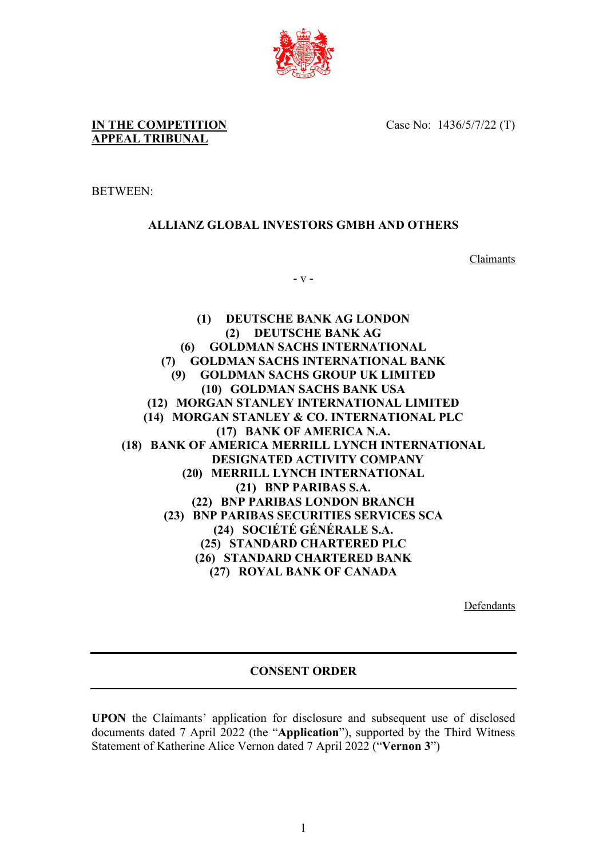

**IN THE COMPETITION APPEAL TRIBUNAL**

Case No: 1436/5/7/22 (T)

BETWEEN:

## **ALLIANZ GLOBAL INVESTORS GMBH AND OTHERS**

**Claimants** 

- v -

**(1) DEUTSCHE BANK AG LONDON (2) DEUTSCHE BANK AG (6) GOLDMAN SACHS INTERNATIONAL (7) GOLDMAN SACHS INTERNATIONAL BANK (9) GOLDMAN SACHS GROUP UK LIMITED (10) GOLDMAN SACHS BANK USA (12) MORGAN STANLEY INTERNATIONAL LIMITED (14) MORGAN STANLEY & CO. INTERNATIONAL PLC (17) BANK OF AMERICA N.A. (18) BANK OF AMERICA MERRILL LYNCH INTERNATIONAL DESIGNATED ACTIVITY COMPANY (20) MERRILL LYNCH INTERNATIONAL (21) BNP PARIBAS S.A. (22) BNP PARIBAS LONDON BRANCH (23) BNP PARIBAS SECURITIES SERVICES SCA (24) SOCIÉTÉ GÉNÉRALE S.A. (25) STANDARD CHARTERED PLC (26) STANDARD CHARTERED BANK (27) ROYAL BANK OF CANADA**

Defendants

## **CONSENT ORDER**

**UPON** the Claimants' application for disclosure and subsequent use of disclosed documents dated 7 April 2022 (the "**Application**"), supported by the Third Witness Statement of Katherine Alice Vernon dated 7 April 2022 ("**Vernon 3**")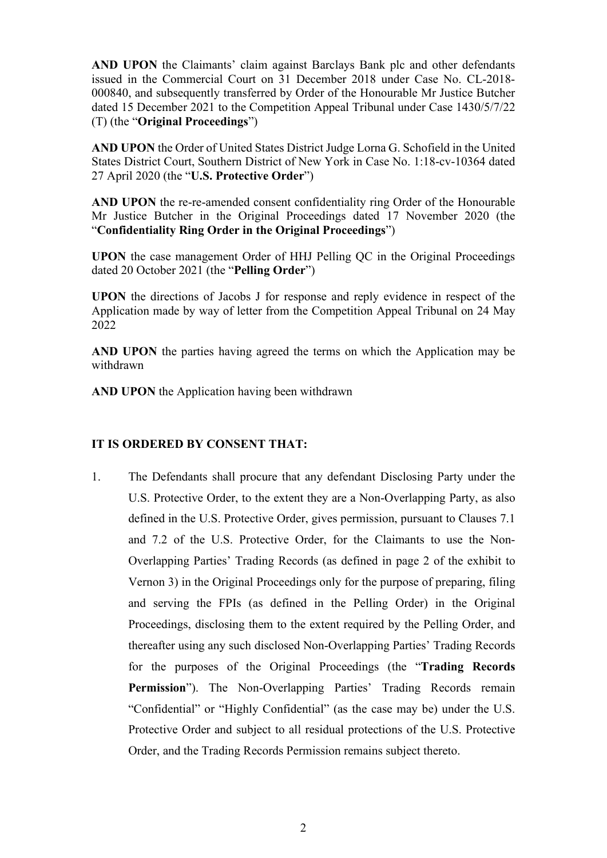**AND UPON** the Claimants' claim against Barclays Bank plc and other defendants issued in the Commercial Court on 31 December 2018 under Case No. CL-2018- 000840, and subsequently transferred by Order of the Honourable Mr Justice Butcher dated 15 December 2021 to the Competition Appeal Tribunal under Case 1430/5/7/22 (T) (the "**Original Proceedings**")

**AND UPON** the Order of United States District Judge Lorna G. Schofield in the United States District Court, Southern District of New York in Case No. 1:18-cv-10364 dated 27 April 2020 (the "**U.S. Protective Order**")

**AND UPON** the re-re-amended consent confidentiality ring Order of the Honourable Mr Justice Butcher in the Original Proceedings dated 17 November 2020 (the "**Confidentiality Ring Order in the Original Proceedings**")

**UPON** the case management Order of HHJ Pelling QC in the Original Proceedings dated 20 October 2021 (the "**Pelling Order**")

**UPON** the directions of Jacobs J for response and reply evidence in respect of the Application made by way of letter from the Competition Appeal Tribunal on 24 May 2022

**AND UPON** the parties having agreed the terms on which the Application may be withdrawn

**AND UPON** the Application having been withdrawn

## **IT IS ORDERED BY CONSENT THAT:**

1. The Defendants shall procure that any defendant Disclosing Party under the U.S. Protective Order, to the extent they are a Non-Overlapping Party, as also defined in the U.S. Protective Order, gives permission, pursuant to Clauses 7.1 and 7.2 of the U.S. Protective Order, for the Claimants to use the Non-Overlapping Parties' Trading Records (as defined in page 2 of the exhibit to Vernon 3) in the Original Proceedings only for the purpose of preparing, filing and serving the FPIs (as defined in the Pelling Order) in the Original Proceedings, disclosing them to the extent required by the Pelling Order, and thereafter using any such disclosed Non-Overlapping Parties' Trading Records for the purposes of the Original Proceedings (the "**Trading Records**  Permission"). The Non-Overlapping Parties' Trading Records remain "Confidential" or "Highly Confidential" (as the case may be) under the U.S. Protective Order and subject to all residual protections of the U.S. Protective Order, and the Trading Records Permission remains subject thereto.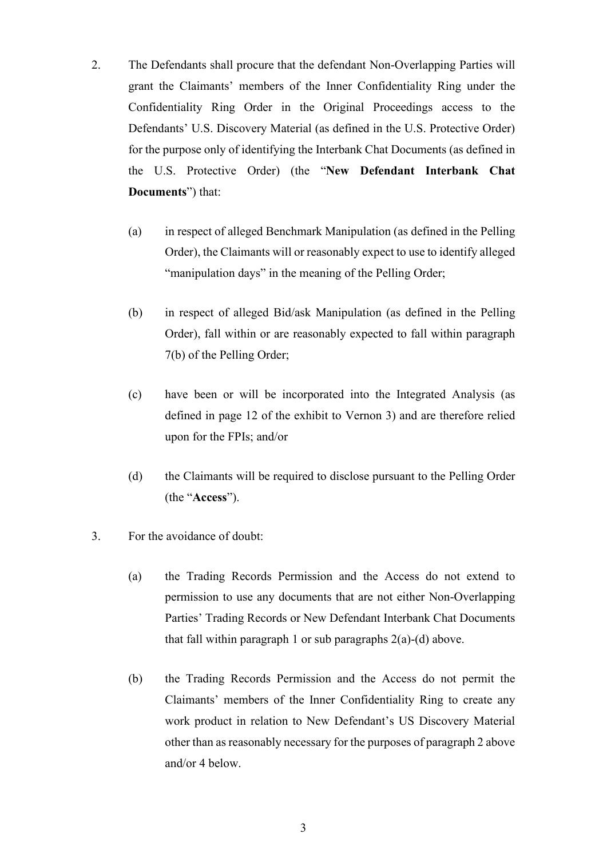- 2. The Defendants shall procure that the defendant Non-Overlapping Parties will grant the Claimants' members of the Inner Confidentiality Ring under the Confidentiality Ring Order in the Original Proceedings access to the Defendants' U.S. Discovery Material (as defined in the U.S. Protective Order) for the purpose only of identifying the Interbank Chat Documents (as defined in the U.S. Protective Order) (the "**New Defendant Interbank Chat Documents**") that:
	- (a) in respect of alleged Benchmark Manipulation (as defined in the Pelling Order), the Claimants will or reasonably expect to use to identify alleged "manipulation days" in the meaning of the Pelling Order;
	- (b) in respect of alleged Bid/ask Manipulation (as defined in the Pelling Order), fall within or are reasonably expected to fall within paragraph 7(b) of the Pelling Order;
	- (c) have been or will be incorporated into the Integrated Analysis (as defined in page 12 of the exhibit to Vernon 3) and are therefore relied upon for the FPIs; and/or
	- (d) the Claimants will be required to disclose pursuant to the Pelling Order (the "**Access**").
- 3. For the avoidance of doubt:
	- (a) the Trading Records Permission and the Access do not extend to permission to use any documents that are not either Non-Overlapping Parties' Trading Records or New Defendant Interbank Chat Documents that fall within paragraph 1 or sub paragraphs  $2(a)-(d)$  above.
	- (b) the Trading Records Permission and the Access do not permit the Claimants' members of the Inner Confidentiality Ring to create any work product in relation to New Defendant's US Discovery Material other than as reasonably necessary for the purposes of paragraph 2 above and/or 4 below.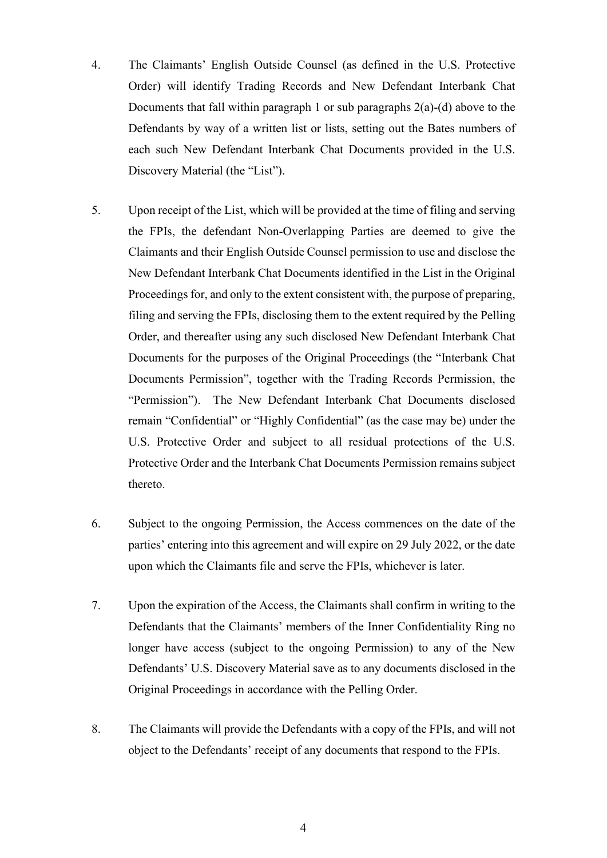- 4. The Claimants' English Outside Counsel (as defined in the U.S. Protective Order) will identify Trading Records and New Defendant Interbank Chat Documents that fall within paragraph 1 or sub paragraphs  $2(a)$ -(d) above to the Defendants by way of a written list or lists, setting out the Bates numbers of each such New Defendant Interbank Chat Documents provided in the U.S. Discovery Material (the "List").
- 5. Upon receipt of the List, which will be provided at the time of filing and serving the FPIs, the defendant Non-Overlapping Parties are deemed to give the Claimants and their English Outside Counsel permission to use and disclose the New Defendant Interbank Chat Documents identified in the List in the Original Proceedings for, and only to the extent consistent with, the purpose of preparing, filing and serving the FPIs, disclosing them to the extent required by the Pelling Order, and thereafter using any such disclosed New Defendant Interbank Chat Documents for the purposes of the Original Proceedings (the "Interbank Chat Documents Permission", together with the Trading Records Permission, the "Permission"). The New Defendant Interbank Chat Documents disclosed remain "Confidential" or "Highly Confidential" (as the case may be) under the U.S. Protective Order and subject to all residual protections of the U.S. Protective Order and the Interbank Chat Documents Permission remains subject thereto.
- 6. Subject to the ongoing Permission, the Access commences on the date of the parties' entering into this agreement and will expire on 29 July 2022, or the date upon which the Claimants file and serve the FPIs, whichever is later.
- 7. Upon the expiration of the Access, the Claimants shall confirm in writing to the Defendants that the Claimants' members of the Inner Confidentiality Ring no longer have access (subject to the ongoing Permission) to any of the New Defendants' U.S. Discovery Material save as to any documents disclosed in the Original Proceedings in accordance with the Pelling Order.
- 8. The Claimants will provide the Defendants with a copy of the FPIs, and will not object to the Defendants' receipt of any documents that respond to the FPIs.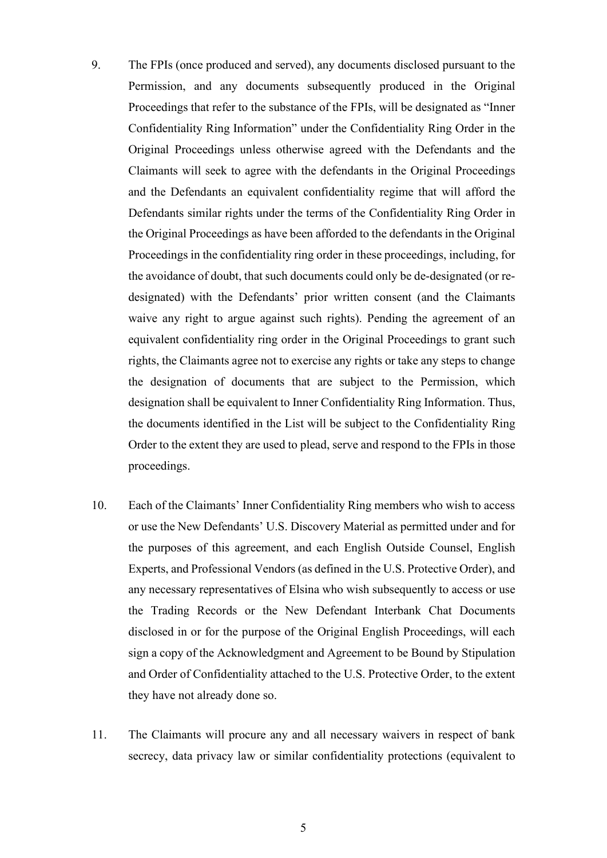- 9. The FPIs (once produced and served), any documents disclosed pursuant to the Permission, and any documents subsequently produced in the Original Proceedings that refer to the substance of the FPIs, will be designated as "Inner Confidentiality Ring Information" under the Confidentiality Ring Order in the Original Proceedings unless otherwise agreed with the Defendants and the Claimants will seek to agree with the defendants in the Original Proceedings and the Defendants an equivalent confidentiality regime that will afford the Defendants similar rights under the terms of the Confidentiality Ring Order in the Original Proceedings as have been afforded to the defendants in the Original Proceedings in the confidentiality ring order in these proceedings, including, for the avoidance of doubt, that such documents could only be de-designated (or redesignated) with the Defendants' prior written consent (and the Claimants waive any right to argue against such rights). Pending the agreement of an equivalent confidentiality ring order in the Original Proceedings to grant such rights, the Claimants agree not to exercise any rights or take any steps to change the designation of documents that are subject to the Permission, which designation shall be equivalent to Inner Confidentiality Ring Information. Thus, the documents identified in the List will be subject to the Confidentiality Ring Order to the extent they are used to plead, serve and respond to the FPIs in those proceedings.
- 10. Each of the Claimants' Inner Confidentiality Ring members who wish to access or use the New Defendants' U.S. Discovery Material as permitted under and for the purposes of this agreement, and each English Outside Counsel, English Experts, and Professional Vendors (as defined in the U.S. Protective Order), and any necessary representatives of Elsina who wish subsequently to access or use the Trading Records or the New Defendant Interbank Chat Documents disclosed in or for the purpose of the Original English Proceedings, will each sign a copy of the Acknowledgment and Agreement to be Bound by Stipulation and Order of Confidentiality attached to the U.S. Protective Order, to the extent they have not already done so.
- 11. The Claimants will procure any and all necessary waivers in respect of bank secrecy, data privacy law or similar confidentiality protections (equivalent to